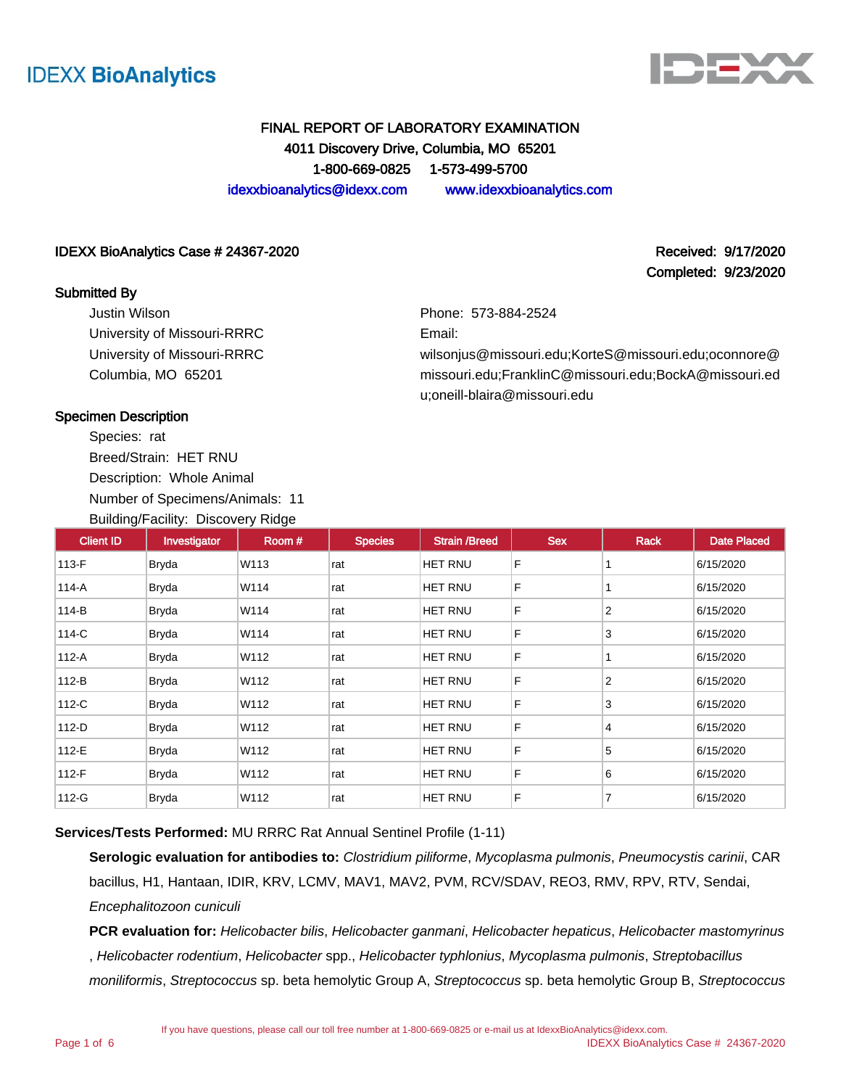



Completed: 9/23/2020

# FINAL REPORT OF LABORATORY EXAMINATION 4011 Discovery Drive, Columbia, MO 65201 1-800-669-0825 1-573-499-5700

idexxbioanalytics@idexx.com www.idexxbioanalytics.com

#### IDEXX BioAnalytics Case # 24367-2020 **Received: 9/17/2020** Received: 9/17/2020

#### Submitted By

Justin Wilson University of Missouri-RRRC University of Missouri-RRRC Columbia, MO 65201

Phone: 573-884-2524

Email:

wilsonjus@missouri.edu;KorteS@missouri.edu;oconnore@ missouri.edu;FranklinC@missouri.edu;BockA@missouri.ed u;oneill-blaira@missouri.edu

### Specimen Description

Species: rat Breed/Strain: HET RNU Description: Whole Animal Number of Specimens/Animals: 11 Building/Facility: Discovery Ridge

| <b>Client ID</b> | Investigator | Room# | <b>Species</b> | <b>Strain /Breed</b> | <b>Sex</b> | Rack            | <b>Date Placed</b> |
|------------------|--------------|-------|----------------|----------------------|------------|-----------------|--------------------|
| 113-F            | Bryda        | W113  | rat            | HET RNU              | F          |                 | 6/15/2020          |
| $114-A$          | Bryda        | W114  | rat            | HET RNU              | F          |                 | 6/15/2020          |
| 114-B            | Bryda        | W114  | rat            | HET RNU              | F          | $\overline{2}$  | 6/15/2020          |
| 114-C            | <b>Bryda</b> | W114  | rat            | HET RNU              | F          | 3               | 6/15/2020          |
| 112-A            | <b>Bryda</b> | W112  | rat            | HET RNU              | F          |                 | 6/15/2020          |
| 112-B            | Bryda        | W112  | rat            | HET RNU              | F          | $\overline{2}$  | 6/15/2020          |
| 112-C            | Bryda        | W112  | rat            | HET RNU              | F          | 3               | 6/15/2020          |
| 112-D            | Bryda        | W112  | rat            | HET RNU              | F          | $\vert 4 \vert$ | 6/15/2020          |
| 112-E            | Bryda        | W112  | rat            | HET RNU              | F          | 5               | 6/15/2020          |
| $112-F$          | <b>Bryda</b> | W112  | rat            | HET RNU              | F          | 6               | 6/15/2020          |
| 112-G            | <b>Bryda</b> | W112  | rat            | <b>HET RNU</b>       | F          | 7               | 6/15/2020          |

**Services/Tests Performed:** MU RRRC Rat Annual Sentinel Profile (1-11)

**Serologic evaluation for antibodies to:** Clostridium piliforme, Mycoplasma pulmonis, Pneumocystis carinii, CAR bacillus, H1, Hantaan, IDIR, KRV, LCMV, MAV1, MAV2, PVM, RCV/SDAV, REO3, RMV, RPV, RTV, Sendai, Encephalitozoon cuniculi

**PCR evaluation for:** Helicobacter bilis, Helicobacter ganmani, Helicobacter hepaticus, Helicobacter mastomyrinus , Helicobacter rodentium, Helicobacter spp., Helicobacter typhlonius, Mycoplasma pulmonis, Streptobacillus moniliformis, Streptococcus sp. beta hemolytic Group A, Streptococcus sp. beta hemolytic Group B, Streptococcus

If you have questions, please call our toll free number at 1-800-669-0825 or e-mail us at IdexxBioAnalytics@idexx.com.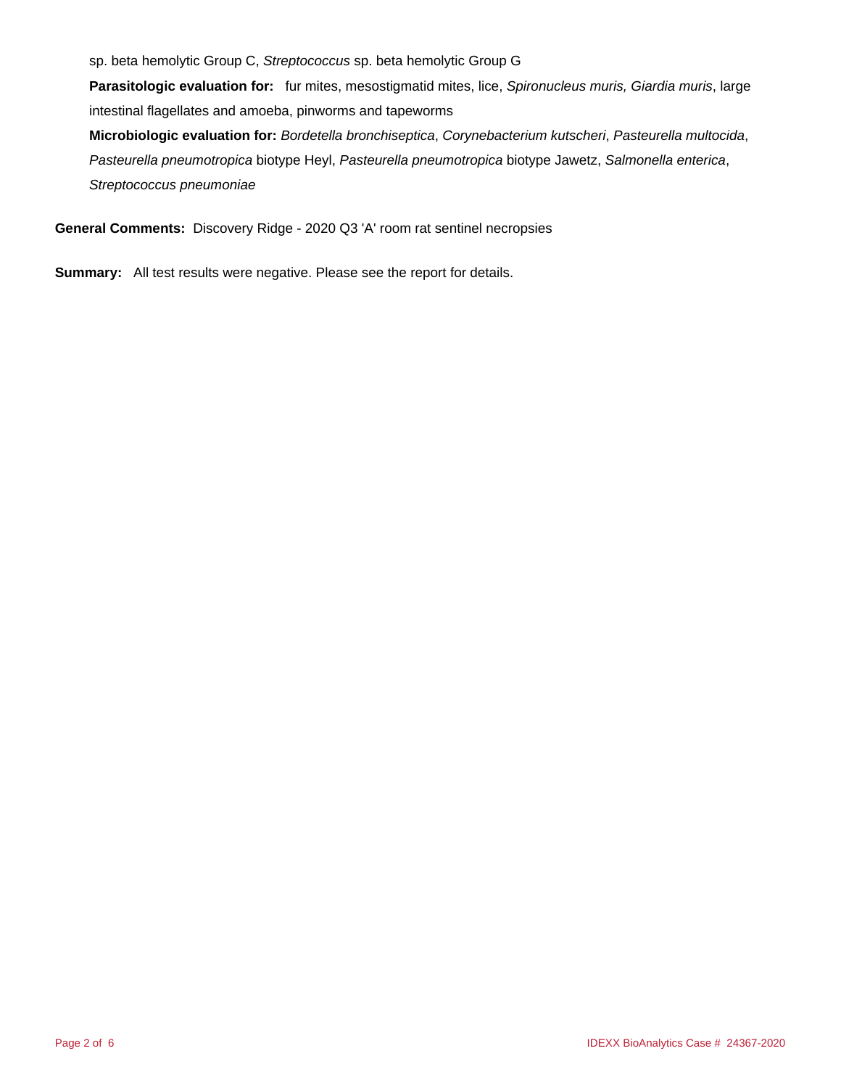sp. beta hemolytic Group C, Streptococcus sp. beta hemolytic Group G

**Parasitologic evaluation for:** fur mites, mesostigmatid mites, lice, Spironucleus muris, Giardia muris, large intestinal flagellates and amoeba, pinworms and tapeworms

**Microbiologic evaluation for:** Bordetella bronchiseptica, Corynebacterium kutscheri, Pasteurella multocida, Pasteurella pneumotropica biotype Heyl, Pasteurella pneumotropica biotype Jawetz, Salmonella enterica, Streptococcus pneumoniae

**General Comments:** Discovery Ridge - 2020 Q3 'A' room rat sentinel necropsies

**Summary:** All test results were negative. Please see the report for details.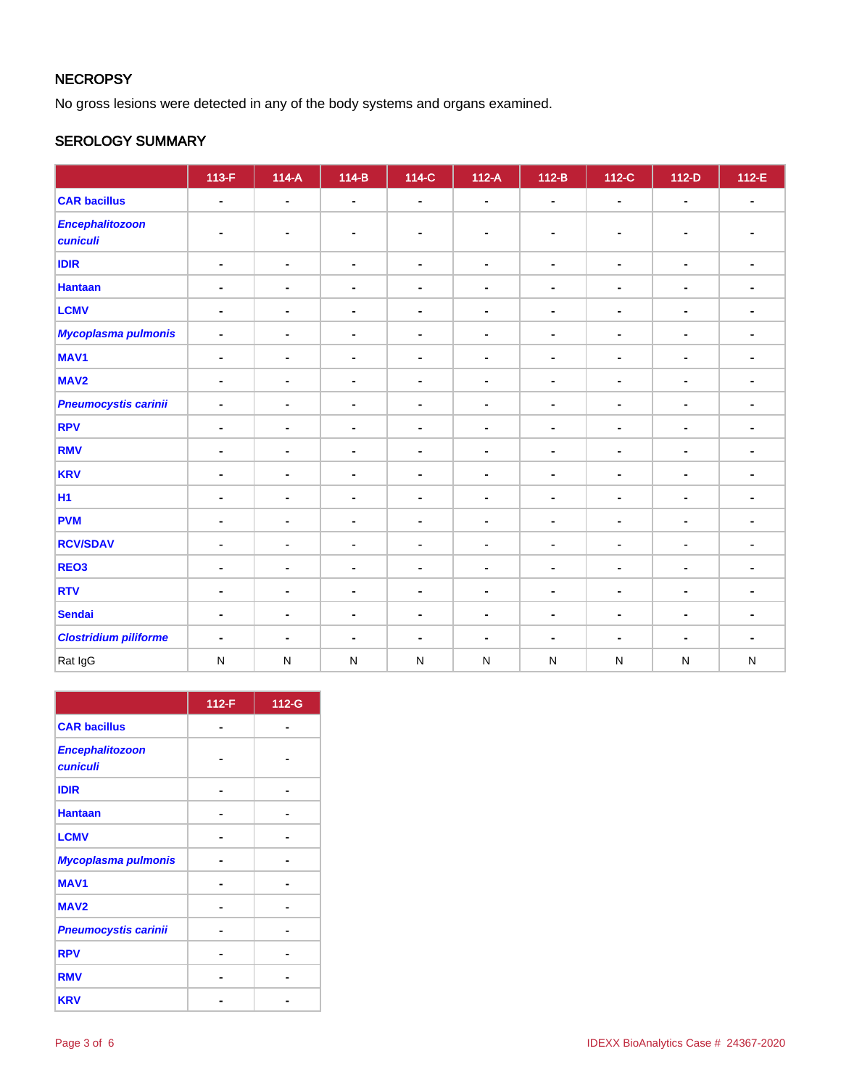# **NECROPSY**

No gross lesions were detected in any of the body systems and organs examined.

# SEROLOGY SUMMARY

|                                    | $113-F$                      | $114-A$        | $114-B$        | $\overline{114-C}$ | $112-A$        | $112-B$        | 112-C          | $112-D$                      | 112-E          |
|------------------------------------|------------------------------|----------------|----------------|--------------------|----------------|----------------|----------------|------------------------------|----------------|
| <b>CAR bacillus</b>                | $\blacksquare$               | $\blacksquare$ | $\blacksquare$ | $\blacksquare$     | $\blacksquare$ | $\blacksquare$ | $\sim$         | $\blacksquare$               | $\blacksquare$ |
| <b>Encephalitozoon</b><br>cuniculi |                              |                | $\blacksquare$ | $\blacksquare$     | ٠              |                | ٠              | $\blacksquare$               |                |
| <b>IDIR</b>                        | $\blacksquare$               | $\blacksquare$ | $\blacksquare$ | $\blacksquare$     | $\blacksquare$ | $\blacksquare$ | $\blacksquare$ | $\blacksquare$               | $\blacksquare$ |
| <b>Hantaan</b>                     | $\blacksquare$               | $\blacksquare$ | $\blacksquare$ | $\blacksquare$     | $\blacksquare$ | $\blacksquare$ | $\blacksquare$ | $\blacksquare$               | $\blacksquare$ |
| <b>LCMV</b>                        | $\blacksquare$               | $\blacksquare$ | $\blacksquare$ | $\blacksquare$     | $\blacksquare$ | $\blacksquare$ | $\blacksquare$ | $\blacksquare$               | $\blacksquare$ |
| <b>Mycoplasma pulmonis</b>         | $\qquad \qquad \blacksquare$ | $\blacksquare$ | $\blacksquare$ | $\blacksquare$     | $\blacksquare$ | $\blacksquare$ | $\blacksquare$ | $\qquad \qquad \blacksquare$ |                |
| MAV <sub>1</sub>                   | $\blacksquare$               | $\blacksquare$ | $\blacksquare$ | $\blacksquare$     | $\blacksquare$ | $\blacksquare$ | $\blacksquare$ | $\blacksquare$               | $\blacksquare$ |
| MAV <sub>2</sub>                   | ۰                            | ۰              | $\blacksquare$ | $\blacksquare$     | $\blacksquare$ | ۰              | $\blacksquare$ | $\blacksquare$               | $\blacksquare$ |
| <b>Pneumocystis carinii</b>        | $\blacksquare$               | $\blacksquare$ | $\blacksquare$ | $\blacksquare$     | $\blacksquare$ | $\blacksquare$ | $\blacksquare$ | $\blacksquare$               | $\blacksquare$ |
| <b>RPV</b>                         | $\blacksquare$               | $\blacksquare$ | $\blacksquare$ | $\blacksquare$     | $\blacksquare$ | $\blacksquare$ | $\blacksquare$ | $\blacksquare$               | ٠              |
| <b>RMV</b>                         | $\blacksquare$               | $\blacksquare$ | $\blacksquare$ | $\blacksquare$     | $\blacksquare$ | $\blacksquare$ | $\blacksquare$ | $\blacksquare$               | ۰              |
| <b>KRV</b>                         | -                            | $\blacksquare$ | $\blacksquare$ | $\blacksquare$     | $\blacksquare$ |                | $\blacksquare$ | $\blacksquare$               |                |
| <b>H1</b>                          | $\blacksquare$               | $\blacksquare$ | $\blacksquare$ | $\blacksquare$     | $\blacksquare$ | $\blacksquare$ | $\blacksquare$ | $\blacksquare$               | $\blacksquare$ |
| <b>PVM</b>                         | $\blacksquare$               | $\blacksquare$ | $\blacksquare$ | $\blacksquare$     | $\blacksquare$ | $\blacksquare$ | $\blacksquare$ | $\blacksquare$               | $\blacksquare$ |
| <b>RCV/SDAV</b>                    | ۰                            | $\blacksquare$ | $\blacksquare$ | $\blacksquare$     | $\blacksquare$ | $\blacksquare$ | $\blacksquare$ | $\blacksquare$               | ۰              |
| REO <sub>3</sub>                   | $\blacksquare$               | $\blacksquare$ | $\blacksquare$ | $\blacksquare$     | $\blacksquare$ | $\blacksquare$ | $\blacksquare$ | $\blacksquare$               | $\blacksquare$ |
| <b>RTV</b>                         | $\blacksquare$               | $\blacksquare$ | $\blacksquare$ | $\blacksquare$     | $\blacksquare$ | $\blacksquare$ | $\blacksquare$ | $\blacksquare$               | ۰              |
| <b>Sendai</b>                      | $\blacksquare$               | $\blacksquare$ | $\blacksquare$ | $\blacksquare$     | $\blacksquare$ | $\blacksquare$ | $\blacksquare$ | $\blacksquare$               | $\blacksquare$ |
| <b>Clostridium piliforme</b>       | $\blacksquare$               | ۰              | $\blacksquare$ | $\blacksquare$     | $\blacksquare$ | $\blacksquare$ | $\blacksquare$ | $\blacksquare$               | ٠              |
| Rat IgG                            | ${\sf N}$                    | $\mathsf{N}$   | ${\sf N}$      | $\mathsf{N}$       | $\mathsf{N}$   | ${\sf N}$      | N              | $\mathsf{N}$                 | ${\sf N}$      |

|                                           | 112-F | 112-G |
|-------------------------------------------|-------|-------|
| <b>CAR bacillus</b>                       |       |       |
| <b>Encephalitozoon</b><br><b>cuniculi</b> |       |       |
| <b>IDIR</b>                               |       |       |
| <b>Hantaan</b>                            |       |       |
| <b>LCMV</b>                               |       |       |
| <b>Mycoplasma pulmonis</b>                |       |       |
| <b>MAV1</b>                               |       |       |
| MAV <sub>2</sub>                          |       |       |
| <b>Pneumocystis carinii</b>               |       |       |
| <b>RPV</b>                                |       |       |
| <b>RMV</b>                                |       |       |
| <b>KRV</b>                                |       |       |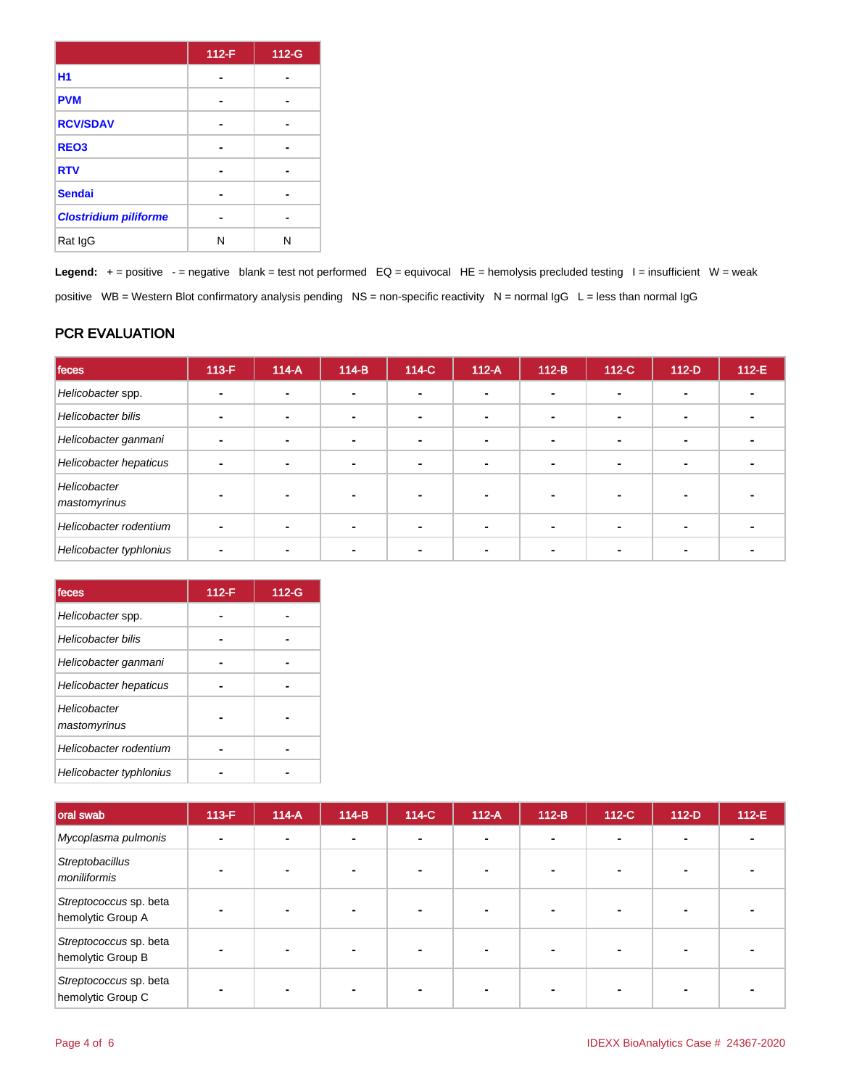|                              | 112-F | 112-G |
|------------------------------|-------|-------|
| <b>H1</b>                    |       |       |
| <b>PVM</b>                   |       |       |
| <b>RCV/SDAV</b>              |       |       |
| REO <sub>3</sub>             |       |       |
| <b>RTV</b>                   |       |       |
| <b>Sendai</b>                |       |       |
| <b>Clostridium piliforme</b> |       |       |
| Rat IgG                      | Ν     | N     |

Legend: + = positive - = negative blank = test not performed EQ = equivocal HE = hemolysis precluded testing I = insufficient W = weak positive WB = Western Blot confirmatory analysis pending NS = non-specific reactivity N = normal IgG L = less than normal IgG

## PCR EVALUATION

| feces                        | $113-F$ | $114-A$ | $114-B$                  | 114-C                    | $112-A$ | $112-B$ | $112-C$ | $112-D$                  | $112-E$ |
|------------------------------|---------|---------|--------------------------|--------------------------|---------|---------|---------|--------------------------|---------|
| Helicobacter spp.            |         |         |                          |                          |         |         |         |                          |         |
| Helicobacter bilis           |         |         | $\blacksquare$           | $\overline{\phantom{a}}$ |         |         |         | -                        |         |
| Helicobacter ganmani         |         |         | $\overline{\phantom{0}}$ | $\overline{\phantom{0}}$ |         | -       |         | $\overline{\phantom{0}}$ |         |
| Helicobacter hepaticus       |         |         | $\blacksquare$           | $\sim$                   |         |         |         | -                        |         |
| Helicobacter<br>mastomyrinus |         |         |                          |                          |         |         |         |                          |         |
| Helicobacter rodentium       |         |         |                          |                          |         |         |         |                          |         |
| Helicobacter typhlonius      |         |         |                          |                          |         |         |         |                          |         |

| feces                        | 112-F | 112-G |
|------------------------------|-------|-------|
| Helicobacter spp.            |       |       |
| <b>Helicobacter bilis</b>    |       |       |
| Helicobacter ganmani         |       |       |
| Helicobacter hepaticus       |       |       |
| Helicobacter<br>mastomyrinus |       |       |
| Helicobacter rodentium       |       |       |
| Helicobacter typhlonius      |       |       |

| oral swab                                   | $113-F$ | $114-A$ | $114-B$        | 114-C | $112-A$ | $112-B$        | 112-C | $112-D$ | 112-E |
|---------------------------------------------|---------|---------|----------------|-------|---------|----------------|-------|---------|-------|
| Mycoplasma pulmonis                         |         |         | $\blacksquare$ |       |         | $\blacksquare$ |       |         |       |
| Streptobacillus<br>moniliformis             |         |         |                |       |         |                |       |         |       |
| Streptococcus sp. beta<br>hemolytic Group A |         |         |                |       |         |                |       |         |       |
| Streptococcus sp. beta<br>hemolytic Group B |         |         | $\blacksquare$ |       |         |                |       |         |       |
| Streptococcus sp. beta<br>hemolytic Group C |         |         |                |       |         |                |       |         |       |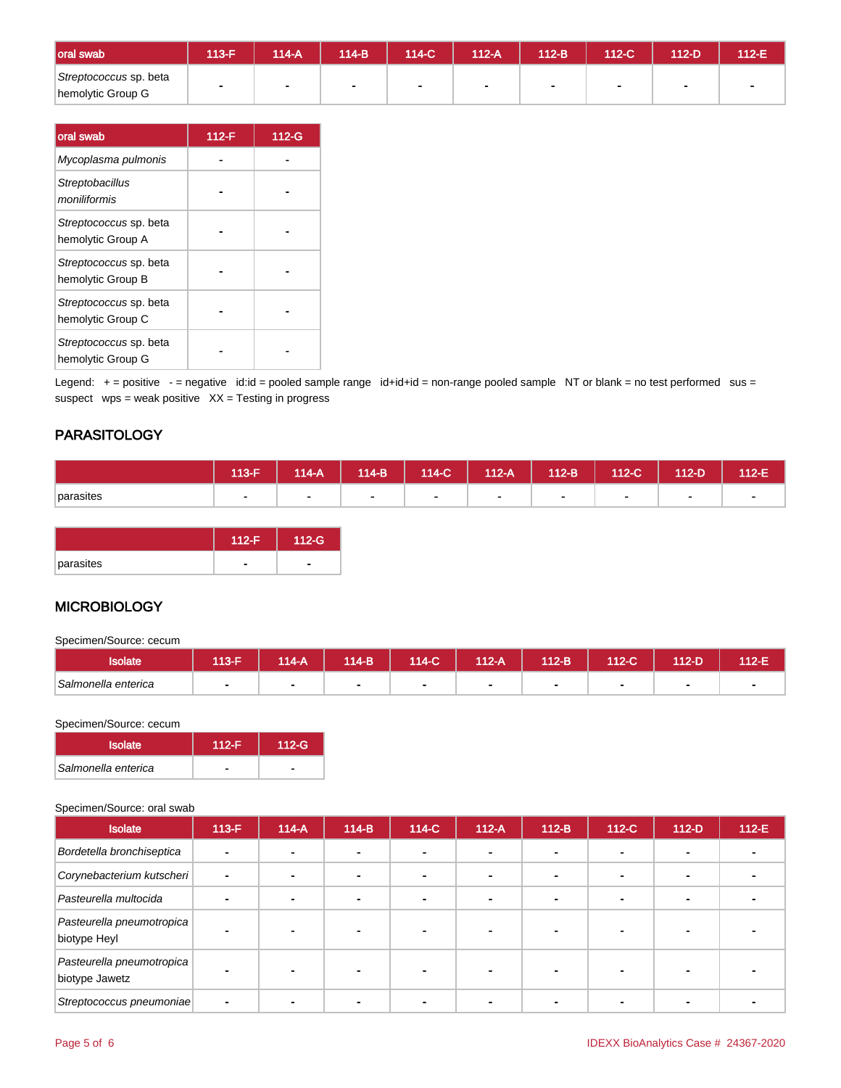| oral swab                                   | <b>113-F</b> | $114-A$ | $114-B$        | $114-C$ | 112-A | $112-B$ | $112-C$ | 112-D | 112-E |
|---------------------------------------------|--------------|---------|----------------|---------|-------|---------|---------|-------|-------|
| Streptococcus sp. beta<br>hemolytic Group G |              |         | $\blacksquare$ |         |       |         |         |       |       |

| oral swab                                   | $112-F$ | 112-G |
|---------------------------------------------|---------|-------|
| Mycoplasma pulmonis                         |         |       |
| Streptobacillus<br>moniliformis             |         |       |
| Streptococcus sp. beta<br>hemolytic Group A |         |       |
| Streptococcus sp. beta<br>hemolytic Group B |         |       |
| Streptococcus sp. beta<br>hemolytic Group C |         |       |
| Streptococcus sp. beta<br>hemolytic Group G |         |       |

Legend: + = positive - = negative id:id = pooled sample range id+id+id = non-range pooled sample NT or blank = no test performed sus = suspect  $wps = weak positive XX = Testing in progress$ 

## **PARASITOLOGY**

|           | $113-F$ | $14-A$ | $114-B$ | $114-C$ | $12-A$         | $112-B$ | $112-C$        | 112-D | 112-E |
|-----------|---------|--------|---------|---------|----------------|---------|----------------|-------|-------|
| parasites |         |        | ۰       |         | $\blacksquare$ |         | $\blacksquare$ |       |       |

|           | $112-F$ | $112-G$ |
|-----------|---------|---------|
| parasites |         |         |

# **MICROBIOLOGY**

Specimen/Source: cecum

| solate              | 113-F | $14-A$ | 114-B' | $14-C$ | $112-A$ | 112-B | 112-C | $12-D$ | $12-E$ |
|---------------------|-------|--------|--------|--------|---------|-------|-------|--------|--------|
| Salmonella enterica |       |        |        |        |         |       |       |        |        |

#### Specimen/Source: cecum

| <b>Isolate</b>      | $112-F$ | $112-G$ |
|---------------------|---------|---------|
| Salmonella enterica |         |         |

#### Specimen/Source: oral swab

| <b>Isolate</b>                              | $113-F$ | $114-A$ | $114-B$ | 114-C | $112-A$        | $112-B$                  | 112-C | $112-D$ | $112-E$ |
|---------------------------------------------|---------|---------|---------|-------|----------------|--------------------------|-------|---------|---------|
| Bordetella bronchiseptica                   |         |         | ۰       |       | $\blacksquare$ | $\sim$                   |       |         |         |
| Corynebacterium kutscheri                   |         | ۰       |         |       |                | $\blacksquare$           |       |         |         |
| Pasteurella multocida                       |         |         |         |       | -              | $\overline{\phantom{a}}$ |       |         |         |
| Pasteurella pneumotropica<br>biotype Heyl   |         |         |         |       |                |                          |       |         |         |
| Pasteurella pneumotropica<br>biotype Jawetz |         |         |         |       |                |                          |       |         |         |
| Streptococcus pneumoniae                    |         |         |         |       |                |                          |       |         |         |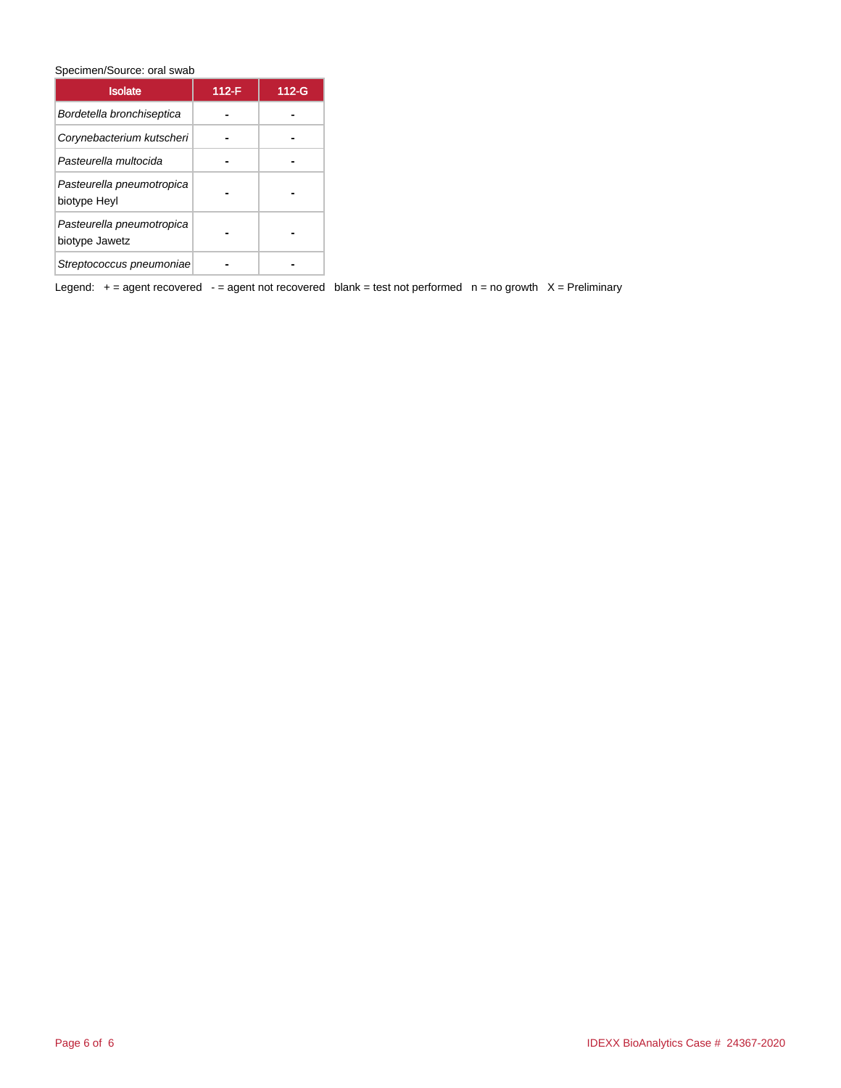Specimen/Source: oral swab

| <b>Isolate</b>                              | 112-F | $112-G$ |
|---------------------------------------------|-------|---------|
| Bordetella bronchiseptica                   |       |         |
| Corynebacterium kutscheri                   |       |         |
| Pasteurella multocida                       |       |         |
| Pasteurella pneumotropica<br>biotype Heyl   |       |         |
| Pasteurella pneumotropica<br>biotype Jawetz |       |         |
| Streptococcus pneumoniae                    |       |         |

Legend:  $+=$  agent recovered - = agent not recovered blank = test not performed  $n =$  no growth  $X =$  Preliminary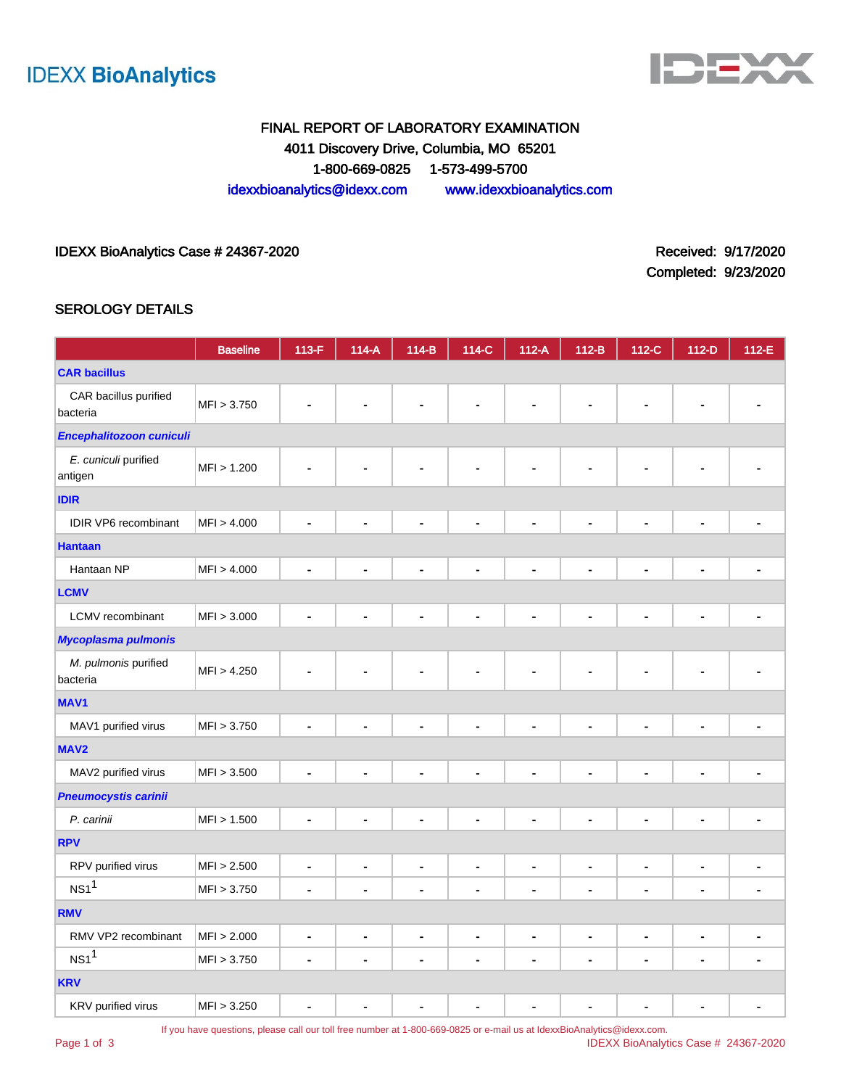



# FINAL REPORT OF LABORATORY EXAMINATION 4011 Discovery Drive, Columbia, MO 65201 1-800-669-0825 1-573-499-5700 idexxbioanalytics@idexx.com www.idexxbioanalytics.com

## IDEXX BioAnalytics Case # 24367-2020 <br>
Received: 9/17/2020

Completed: 9/23/2020

### SEROLOGY DETAILS

|                                   | <b>Baseline</b> | 113-F          | $114-A$                      | $114-B$                      | 114-C                        | $112-A$              | $112-B$        | $112-C$        | $112-D$        | $112-E$        |
|-----------------------------------|-----------------|----------------|------------------------------|------------------------------|------------------------------|----------------------|----------------|----------------|----------------|----------------|
| <b>CAR bacillus</b>               |                 |                |                              |                              |                              |                      |                |                |                |                |
| CAR bacillus purified<br>bacteria | MFI > 3.750     |                |                              |                              |                              |                      |                |                |                |                |
| Encephalitozoon cuniculi          |                 |                |                              |                              |                              |                      |                |                |                |                |
| E. cuniculi purified<br>antigen   | MFI > 1.200     |                |                              | $\blacksquare$               | $\blacksquare$               | $\blacksquare$       |                |                |                |                |
| <b>IDIR</b>                       |                 |                |                              |                              |                              |                      |                |                |                |                |
| <b>IDIR VP6</b> recombinant       | MFI > 4.000     | $\blacksquare$ | $\blacksquare$               | $\blacksquare$               | $\blacksquare$               | $\blacksquare$       | $\blacksquare$ | $\blacksquare$ | $\blacksquare$ |                |
| <b>Hantaan</b>                    |                 |                |                              |                              |                              |                      |                |                |                |                |
| Hantaan NP                        | MFI > 4.000     | $\blacksquare$ | ٠                            | $\blacksquare$               | $\blacksquare$               | $\blacksquare$       | $\blacksquare$ | Ĭ.             | $\blacksquare$ |                |
| <b>LCMV</b>                       |                 |                |                              |                              |                              |                      |                |                |                |                |
| <b>LCMV</b> recombinant           | MFI > 3.000     | $\blacksquare$ | $\qquad \qquad \blacksquare$ | $\qquad \qquad \blacksquare$ | $\qquad \qquad \blacksquare$ | $\blacksquare$       | $\blacksquare$ | $\overline{a}$ | $\blacksquare$ |                |
| <b>Mycoplasma pulmonis</b>        |                 |                |                              |                              |                              |                      |                |                |                |                |
| M. pulmonis purified<br>bacteria  | MFI > 4.250     |                |                              | $\blacksquare$               |                              | $\blacksquare$       | $\blacksquare$ | $\blacksquare$ |                |                |
| MAV <sub>1</sub>                  |                 |                |                              |                              |                              |                      |                |                |                |                |
| MAV1 purified virus               | MFI > 3.750     | ä,             |                              | ÷,                           | $\blacksquare$               | $\ddot{\phantom{0}}$ | $\blacksquare$ | L,             | ä,             |                |
| MAV <sub>2</sub>                  |                 |                |                              |                              |                              |                      |                |                |                |                |
| MAV2 purified virus               | MFI > 3.500     |                |                              | $\blacksquare$               | $\blacksquare$               | $\blacksquare$       | $\blacksquare$ | L.             | $\blacksquare$ |                |
| Pneumocystis carinii              |                 |                |                              |                              |                              |                      |                |                |                |                |
| P. carinii                        | MFI > 1.500     |                |                              | $\blacksquare$               | ä,                           | $\blacksquare$       | ä,             | Ĭ.             | Ē,             |                |
| <b>RPV</b>                        |                 |                |                              |                              |                              |                      |                |                |                |                |
| RPV purified virus                | MFI > 2.500     |                | $\blacksquare$               | ۰                            | $\blacksquare$               | $\blacksquare$       | $\blacksquare$ | $\blacksquare$ | ۰              |                |
| NS1 <sup>1</sup>                  | MFI > 3.750     | $\blacksquare$ | ä,                           | $\blacksquare$               | $\blacksquare$               | $\blacksquare$       | $\blacksquare$ | $\blacksquare$ | $\blacksquare$ |                |
| <b>RMV</b>                        |                 |                |                              |                              |                              |                      |                |                |                |                |
| RMV VP2 recombinant               | MFI > 2.000     | $\blacksquare$ | $\blacksquare$               | $\blacksquare$               | $\qquad \qquad \blacksquare$ | $\blacksquare$       | $\blacksquare$ | $\blacksquare$ | $\blacksquare$ |                |
| NS1 <sup>1</sup>                  | MFI > 3.750     | $\blacksquare$ | ٠                            | $\blacksquare$               | $\blacksquare$               | $\blacksquare$       | $\blacksquare$ | Ě.             | $\blacksquare$ | $\blacksquare$ |
| <b>KRV</b>                        |                 |                |                              |                              |                              |                      |                |                |                |                |
| KRV purified virus                | MFI > 3.250     |                |                              | $\blacksquare$               | $\blacksquare$               | $\blacksquare$       | $\blacksquare$ | L,             |                |                |

Page 1 of 3

If you have questions, please call our toll free number at 1-800-669-0825 or e-mail us at IdexxBioAnalytics@idexx.com.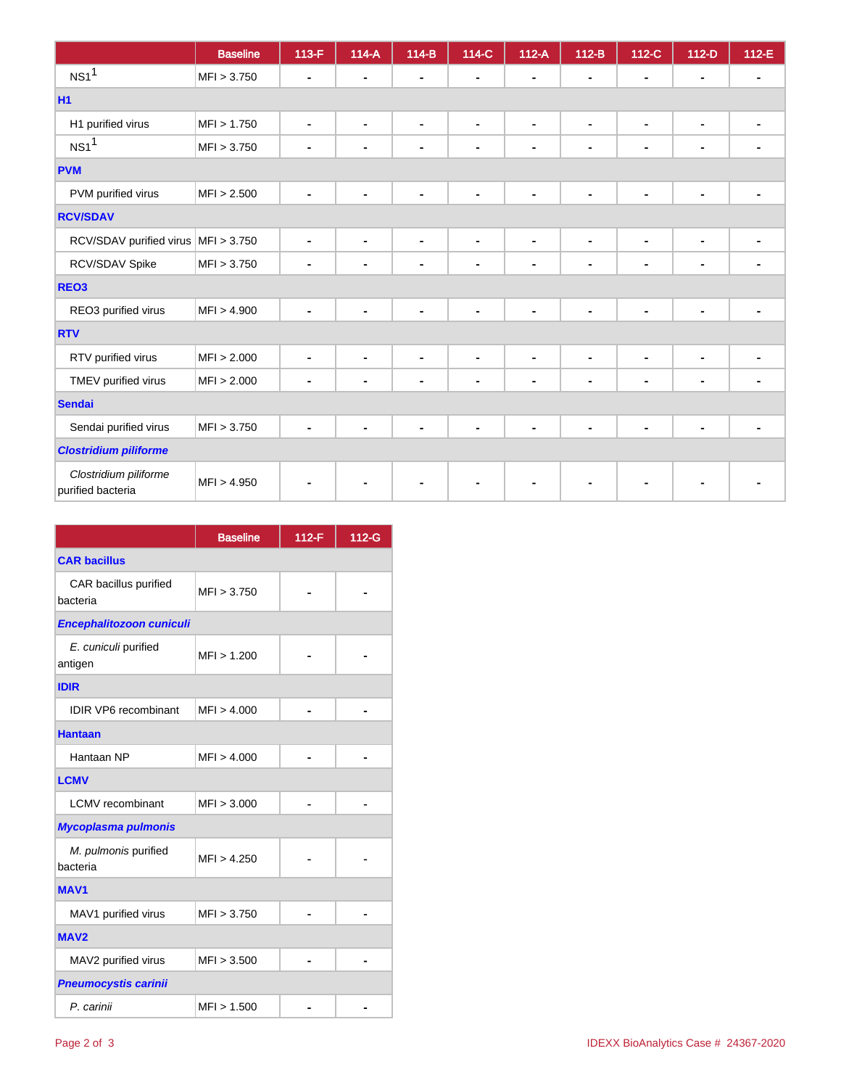|                                            | <b>Baseline</b> | 113-F          | $114-A$        | $114-B$        | 114-C          | $112-A$                      | $112-B$        | 112-C          | $112-D$        | 112-E |
|--------------------------------------------|-----------------|----------------|----------------|----------------|----------------|------------------------------|----------------|----------------|----------------|-------|
| NS1 <sup>1</sup>                           | MFI > 3.750     | ۰              |                | $\blacksquare$ | ٠              |                              |                | $\blacksquare$ | $\blacksquare$ |       |
| <b>H1</b>                                  |                 |                |                |                |                |                              |                |                |                |       |
| H1 purified virus                          | MFI > 1.750     | ٠              | $\blacksquare$ | $\blacksquare$ | $\blacksquare$ | $\blacksquare$               | $\blacksquare$ | $\blacksquare$ | $\blacksquare$ |       |
| NS1 <sup>1</sup>                           | MFI > 3.750     | ۰              | $\blacksquare$ | $\blacksquare$ | $\blacksquare$ | $\blacksquare$               | $\blacksquare$ | $\blacksquare$ | $\blacksquare$ |       |
| <b>PVM</b>                                 |                 |                |                |                |                |                              |                |                |                |       |
| PVM purified virus                         | MFI > 2.500     | ۰              | $\blacksquare$ | $\blacksquare$ | $\blacksquare$ | $\qquad \qquad \blacksquare$ | $\blacksquare$ | $\blacksquare$ | $\blacksquare$ |       |
| <b>RCV/SDAV</b>                            |                 |                |                |                |                |                              |                |                |                |       |
| RCV/SDAV purified virus                    | MFI > 3.750     | ٠              | $\blacksquare$ | $\blacksquare$ | $\blacksquare$ | $\blacksquare$               | $\blacksquare$ | $\blacksquare$ | $\blacksquare$ |       |
| RCV/SDAV Spike                             | MFI > 3.750     | $\blacksquare$ |                | $\blacksquare$ | $\blacksquare$ | $\blacksquare$               | $\blacksquare$ | ٠              | $\blacksquare$ |       |
| REO <sub>3</sub>                           |                 |                |                |                |                |                              |                |                |                |       |
| REO3 purified virus                        | MFI > 4.900     |                |                | $\blacksquare$ |                |                              |                | $\blacksquare$ | $\blacksquare$ |       |
| <b>RTV</b>                                 |                 |                |                |                |                |                              |                |                |                |       |
| RTV purified virus                         | MFI > 2.000     | $\blacksquare$ |                | $\blacksquare$ | $\blacksquare$ | $\blacksquare$               |                | ۰              | $\blacksquare$ |       |
| TMEV purified virus                        | MFI > 2.000     | ۰              | ۰              | $\blacksquare$ | $\blacksquare$ |                              |                | $\blacksquare$ | $\blacksquare$ |       |
| <b>Sendai</b>                              |                 |                |                |                |                |                              |                |                |                |       |
| Sendai purified virus                      | MFI > 3.750     | ۰              | ۰              | $\blacksquare$ | $\blacksquare$ | $\blacksquare$               | $\blacksquare$ | $\blacksquare$ | $\blacksquare$ |       |
| <b>Clostridium piliforme</b>               |                 |                |                |                |                |                              |                |                |                |       |
| Clostridium piliforme<br>purified bacteria | MFI > 4.950     |                |                |                |                |                              |                |                |                |       |

|                                   | <b>Baseline</b> | 112-F | 112-G |
|-----------------------------------|-----------------|-------|-------|
| <b>CAR bacillus</b>               |                 |       |       |
| CAR bacillus purified<br>bacteria | MFI > 3.750     |       |       |
| Encephalitozoon cuniculi          |                 |       |       |
| E. cuniculi purified<br>antigen   | MFI > 1.200     |       |       |
| <b>IDIR</b>                       |                 |       |       |
| <b>IDIR VP6</b> recombinant       | MFI > 4.000     |       |       |
| <b>Hantaan</b>                    |                 |       |       |
| Hantaan NP                        | MFI > 4.000     |       |       |
| <b>LCMV</b>                       |                 |       |       |
| I CMV recombinant                 | MFI > 3.000     |       |       |
| Mycoplasma pulmonis               |                 |       |       |
| M. pulmonis purified<br>bacteria  | MFI > 4.250     |       |       |
| <b>MAV1</b>                       |                 |       |       |
| MAV1 purified virus               | MFI > 3.750     |       |       |
| MAV <sub>2</sub>                  |                 |       |       |
| MAV2 purified virus               | MFI > 3.500     |       |       |
| <b>Pneumocystis carinii</b>       |                 |       |       |
| P. carinii                        | MFI > 1.500     |       |       |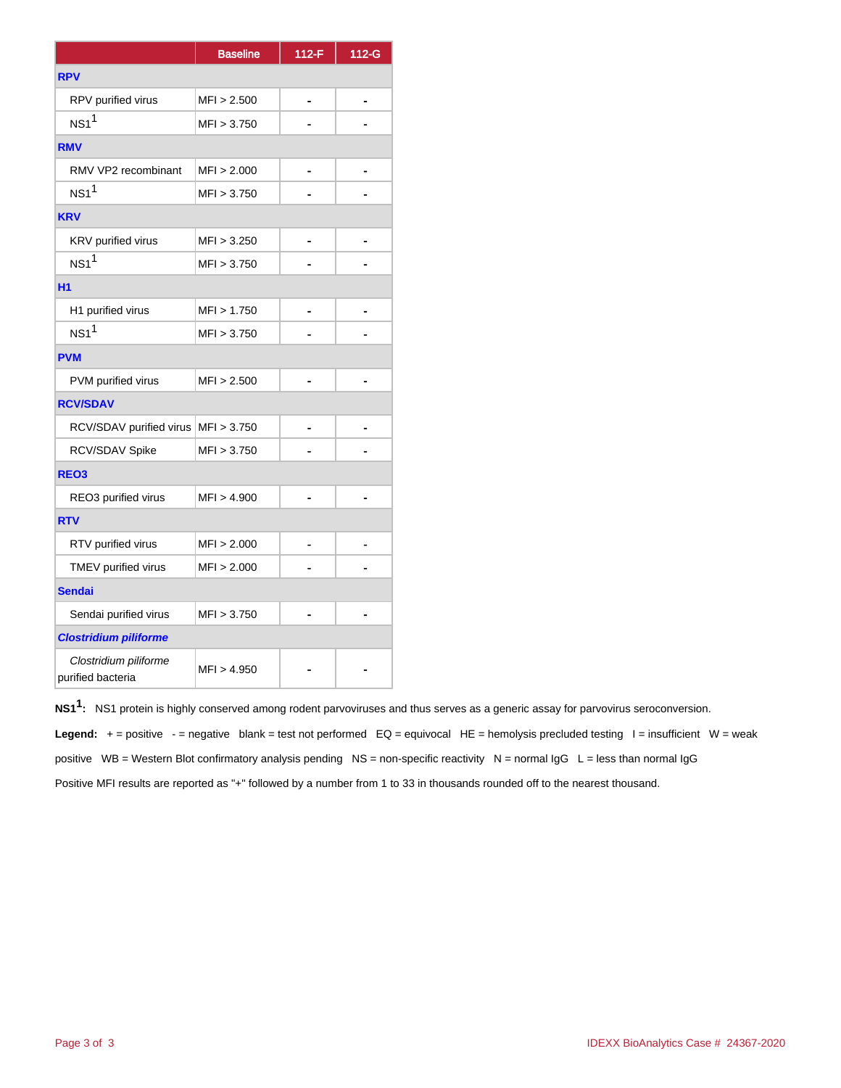|                                            | <b>Baseline</b> | $112-F$ | 112-G |
|--------------------------------------------|-----------------|---------|-------|
| <b>RPV</b>                                 |                 |         |       |
| RPV purified virus                         | MFI > 2.500     |         |       |
| NS1 <sup>1</sup>                           | MFI > 3.750     |         |       |
| <b>RMV</b>                                 |                 |         |       |
| RMV VP2 recombinant                        | MFI > 2.000     |         |       |
| $NS1$ <sup>1</sup>                         | MFI > 3.750     |         |       |
| <b>KRV</b>                                 |                 |         |       |
| KRV purified virus                         | MFI > 3.250     |         |       |
| NS1 <sup>1</sup>                           | MFI > 3.750     |         |       |
| H1                                         |                 |         |       |
| H1 purified virus                          | MFI > 1.750     |         |       |
| $NS1$ <sup>1</sup>                         | MFI > 3.750     |         |       |
| <b>PVM</b>                                 |                 |         |       |
| PVM purified virus                         | MFI > 2.500     |         |       |
| <b>RCV/SDAV</b>                            |                 |         |       |
| RCV/SDAV purified virus   MFI > 3.750      |                 |         |       |
| RCV/SDAV Spike                             | MFI > 3.750     |         |       |
| REO <sub>3</sub>                           |                 |         |       |
| REO3 purified virus                        | MFI > 4.900     |         |       |
| <b>RTV</b>                                 |                 |         |       |
| RTV purified virus                         | MFI > 2.000     |         |       |
| TMEV purified virus                        | MFI > 2.000     |         |       |
| <b>Sendai</b>                              |                 |         |       |
| Sendai purified virus                      | MFI > 3.750     |         |       |
| <b>Clostridium piliforme</b>               |                 |         |       |
| Clostridium piliforme<br>purified bacteria | MFI > 4.950     |         |       |

**NS11 :** NS1 protein is highly conserved among rodent parvoviruses and thus serves as a generic assay for parvovirus seroconversion.

Legend:  $+$  = positive  $-$  = negative blank = test not performed EQ = equivocal HE = hemolysis precluded testing  $-$  = insufficient W = weak positive WB = Western Blot confirmatory analysis pending NS = non-specific reactivity N = normal  $\lg G$  L = less than normal  $\lg G$ 

Positive MFI results are reported as "+" followed by a number from 1 to 33 in thousands rounded off to the nearest thousand.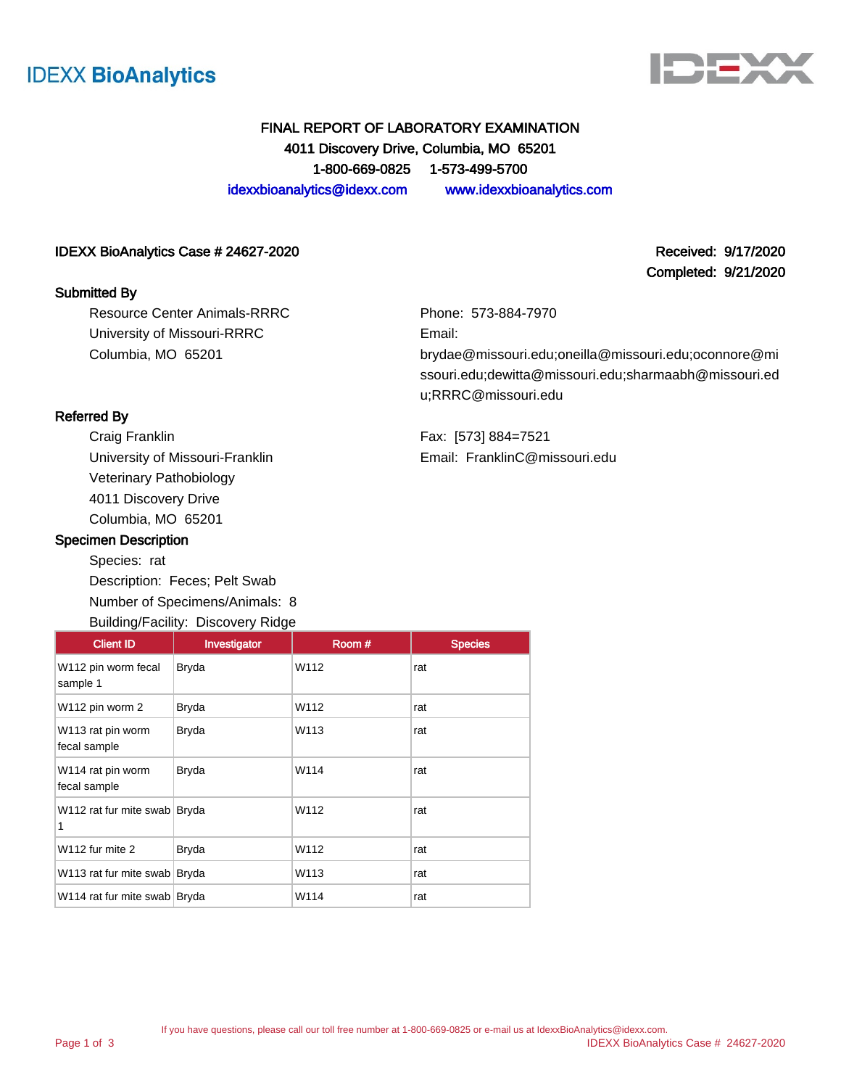



Completed: 9/21/2020

# FINAL REPORT OF LABORATORY EXAMINATION 4011 Discovery Drive, Columbia, MO 65201 1-800-669-0825 1-573-499-5700 idexxbioanalytics@idexx.com www.idexxbioanalytics.com

#### IDEXX BioAnalytics Case # 24627-2020 **Received: 9/17/2020** Received: 9/17/2020

#### Submitted By

Resource Center Animals-RRRC University of Missouri-RRRC Columbia, MO 65201

Phone: 573-884-7970 Email: brydae@missouri.edu;oneilla@missouri.edu;oconnore@mi ssouri.edu;dewitta@missouri.edu;sharmaabh@missouri.ed u;RRRC@missouri.edu

Fax: [573] 884=7521 Email: FranklinC@missouri.edu

### Referred By

Craig Franklin University of Missouri-Franklin Veterinary Pathobiology 4011 Discovery Drive Columbia, MO 65201

#### Specimen Description

Species: rat Description: Feces; Pelt Swab Number of Specimens/Animals: 8 Building/Facility: Discovery Ridge

## Client ID | Investigator | Room # | Species W112 pin worm fecal sample 1 Bryda W112 rat W112 pin worm 2 Bryda W112 rat W113 rat pin worm fecal sample Bryda W113 rat W114 rat pin worm fecal sample Bryda W114 rat W112 rat fur mite swab Bryda W112 rat 1 W112 fur mite 2 Bryda W112 rat W113 rat fur mite swab Bryda W113 rat W114 rat fur mite swab Bryda W114 W114 rat

If you have questions, please call our toll free number at 1-800-669-0825 or e-mail us at IdexxBioAnalytics@idexx.com. IDEXX BioAnalytics Case # 24627-2020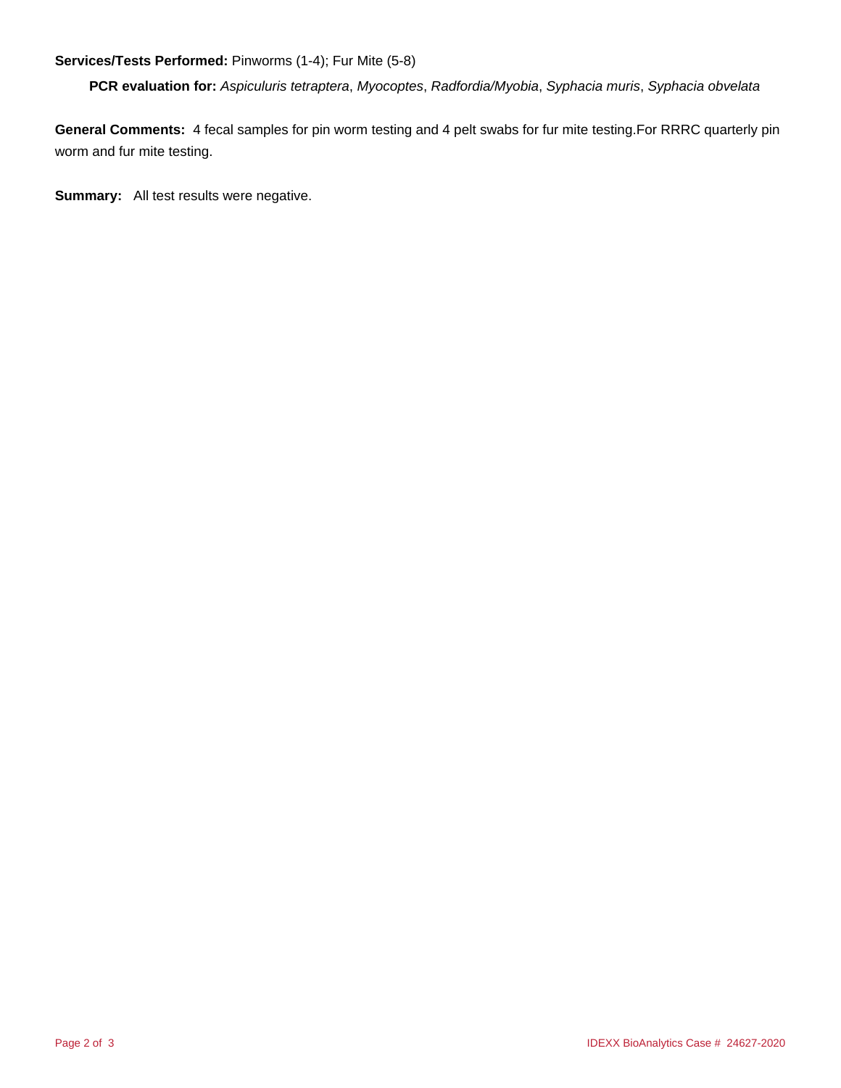## **Services/Tests Performed:** Pinworms (1-4); Fur Mite (5-8)

**PCR evaluation for:** Aspiculuris tetraptera, Myocoptes, Radfordia/Myobia, Syphacia muris, Syphacia obvelata

**General Comments:** 4 fecal samples for pin worm testing and 4 pelt swabs for fur mite testing.For RRRC quarterly pin worm and fur mite testing.

**Summary:** All test results were negative.